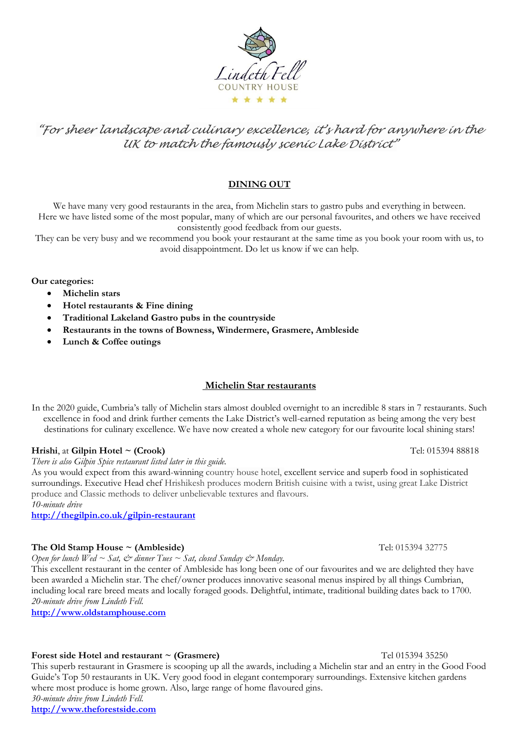

# *"For sheer landscape and culinary excellence, it's hard for anywhere in the UK to match the famously scenic Lake District"*

# **DINING OUT**

We have many very good restaurants in the area, from Michelin stars to gastro pubs and everything in between. Here we have listed some of the most popular, many of which are our personal favourites, and others we have received consistently good feedback from our guests.

They can be very busy and we recommend you book your restaurant at the same time as you book your room with us, to avoid disappointment. Do let us know if we can help.

**Our categories:**

- **Michelin stars**
- **Hotel restaurants & Fine dining**
- **Traditional Lakeland Gastro pubs in the countryside**
- **Restaurants in the towns of Bowness, Windermere, Grasmere, Ambleside**
- **Lunch & Coffee outings**

# **Michelin Star restaurants**

In the 2020 guide, Cumbria's tally of Michelin stars almost doubled overnight to an incredible 8 stars in 7 restaurants. Such excellence in food and drink further cements the Lake District's well-earned reputation as being among the very best destinations for culinary excellence. We have now created a whole new category for our favourite local shining stars!

### **Hrishi**, at **Gilpin Hotel ~ (Crook)** Tel: 015394 88818

*There is also Gilpin Spice restaurant listed later in this guide.*

As you would expect from this award-winning country house hotel, excellent service and superb food in sophisticated surroundings. Executive Head chef Hrishikesh produces modern British cuisine with a twist, using great Lake District produce and Classic methods to deliver unbelievable textures and flavours.

*10-minute drive*

**<http://thegilpin.co.uk/gilpin-restaurant>**

### **The Old Stamp House ~ (Ambleside)** The Old Stamp House  $\sim$  (Ambleside) Tel: 015394 32775

*Open for lunch Wed ~ Sat,*  $\dot{\mathcal{O}}$  *dinner Tues ~ Sat, closed Sunday*  $\dot{\mathcal{O}}$  *Monday.* 

This excellent restaurant in the center of Ambleside has long been one of our favourites and we are delighted they have been awarded a Michelin star. The chef/owner produces innovative seasonal menus inspired by all things Cumbrian, including local rare breed meats and locally foraged goods. Delightful, intimate, traditional building dates back to 1700. *20-minute drive from Lindeth Fell.* 

**[http://www.oldstamphouse.com](http://www.oldstamphouse.com/)**

### **Forest side Hotel and restaurant ~ (Grasmere)** Tel 015394 35250

This superb restaurant in Grasmere is scooping up all the awards, including a Michelin star and an entry in the Good Food Guide's Top 50 restaurants in UK. Very good food in elegant contemporary surroundings. Extensive kitchen gardens where most produce is home grown. Also, large range of home flavoured gins. *30-minute drive from Lindeth Fell.* **[http://www.theforestside.com](http://www.theforestside.com/)**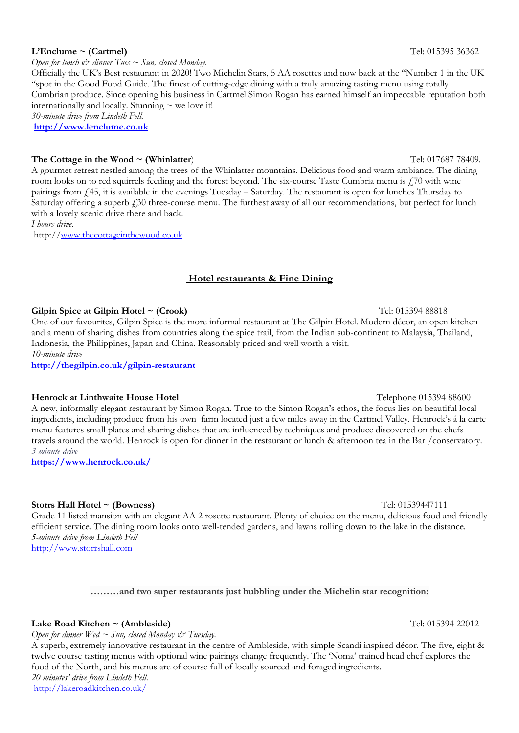#### Saturday offering a superb  $\dot{f}$  30 three-course menu. The furthest away of all our recommendations, but perfect for lunch with a lovely scenic drive there and back.

room looks on to red squirrels feeding and the forest beyond. The six-course Taste Cumbria menu is £70 with wine pairings from £45, it is available in the evenings Tuesday – Saturday. The restaurant is open for lunches Thursday to

"spot in the Good Food Guide. The finest of cutting-edge dining with a truly amazing tasting menu using totally

Cumbrian produce. Since opening his business in Cartmel Simon Rogan has earned himself an impeccable reputation both

*I hours drive.*

http:/[/www.thecottageinthewood.co.uk](http://www.thecottageinthewood.co.uk/)

# **Hotel restaurants & Fine Dining**

**Gilpin Spice at Gilpin Hotel ~ (Crook)** Tel: 015394 88818 One of our favourites, Gilpin Spice is the more informal restaurant at The Gilpin Hotel. Modern décor, an open kitchen and a menu of sharing dishes from countries along the spice trail, from the Indian sub-continent to Malaysia, Thailand, Indonesia, the Philippines, Japan and China. Reasonably priced and well worth a visit. *10-minute drive*

**<http://thegilpin.co.uk/gilpin-restaurant>**

**Henrock at Linthwaite House Hotel Telephone 015394 88600** 

A new, informally elegant restaurant by Simon Rogan. True to the Simon Rogan's ethos, the focus lies on beautiful local ingredients, including produce from his own farm located just a few miles away in the Cartmel Valley. Henrock's á la carte menu features small plates and sharing dishes that are influenced by techniques and produce discovered on the chefs travels around the world. Henrock is open for dinner in the restaurant or lunch & afternoon tea in the Bar /conservatory. *3 minute drive*

**<https://www.henrock.co.uk/>**

# **Storrs Hall Hotel ~ (Bowness) Tel: 01539447111**

Grade 11 listed mansion with an elegant AA 2 rosette restaurant. Plenty of choice on the menu, delicious food and friendly efficient service. The dining room looks onto well-tended gardens, and lawns rolling down to the lake in the distance. *5-minute drive from Lindeth Fell* [http://www.storrshall.com](http://www.storrshall.com/)

# **………and two super restaurants just bubbling under the Michelin star recognition:**

# Lake Road Kitchen ~ (Ambleside) **Tel:** 015394 22012

Open for dinner Wed  $\sim$  Sun, closed Monday  $\mathcal{E}^*$  Tuesday.

A superb, extremely innovative restaurant in the centre of Ambleside, with simple Scandi inspired décor. The five, eight & twelve course tasting menus with optional wine pairings change frequently. The 'Noma' trained head chef explores the food of the North, and his menus are of course full of locally sourced and foraged ingredients. *20 minutes' drive from Lindeth Fell.* <http://lakeroadkitchen.co.uk/>

### **L'Enclume ~ (Cartmel)** Tel: 015395 36362

*30-minute drive from Lindeth Fell.*  **[http://www.lenclume.co.uk](http://www.lenclume.co.uk/)**

*Open for lunch*  $\mathcal{Q}$  *dinner Tues*  $\sim$  *Sun, closed Monday.* Officially the UK's Best restaurant in 2020! Two Michelin Stars, 5 AA rosettes and now back at the "Number 1 in the UK

internationally and locally. Stunning  $\sim$  we love it!

#### **The Cottage in the Wood ~ (Whinlatter)** The Cottage in the Wood ~ (Whinlatter) Tel: 017687 78409. A gourmet retreat nestled among the trees of the Whinlatter mountains. Delicious food and warm ambiance. The dining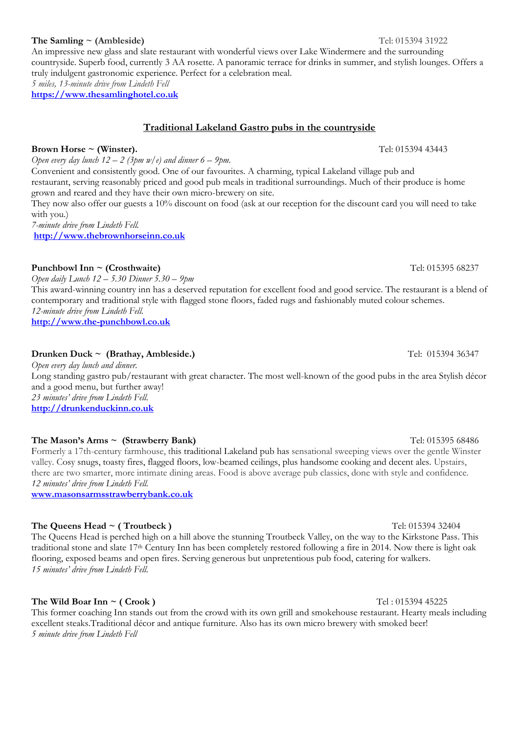**Brown Horse ~ (Winster). Constant Constant Constant Constant Constant Constant Constant Constant Constant Constant Constant Constant Constant Constant Constant Constant Constant Constant Constant Constant Constant Const** 

# An impressive new glass and slate restaurant with wonderful views over Lake Windermere and the surrounding

# **Traditional Lakeland Gastro pubs in the countryside**

*Open every day lunch*  $12 - 2$  (3pm  $w/e$ ) and dinner 6 – 9pm. Convenient and consistently good. One of our favourites. A charming, typical Lakeland village pub and restaurant, serving reasonably priced and good pub meals in traditional surroundings. Much of their produce is home grown and reared and they have their own micro-brewery on site.

They now also offer our guests a 10% discount on food (ask at our reception for the discount card you will need to take with you.)

countryside. Superb food, currently 3 AA rosette. A panoramic terrace for drinks in summer, and stylish lounges. Offers a

*7-minute drive from Lindeth Fell.* **[http://www.thebrownhorseinn.co.uk](http://www.thebrownhorseinn.co.uk/)**

# **Punchbowl Inn ~ (Crosthwaite)** Tel: 015395 68237

*Open daily Lunch 12 – 5.30 Dinner 5.30 – 9pm* This award-winning country inn has a deserved reputation for excellent food and good service. The restaurant is a blend of contemporary and traditional style with flagged stone floors, faded rugs and fashionably muted colour schemes. *12-minute drive from Lindeth Fell.*

**[http://www.the-punchbowl.co.uk](http://www.the-punchbowl.co.uk/)**

# **Drunken Duck ~ (Brathay, Ambleside.)** Tel: 015394 36347

*Open every day lunch and dinner.*  Long standing gastro pub/restaurant with great character. The most well-known of the good pubs in the area Stylish décor and a good menu, but further away! *23 minutes' drive from Lindeth Fell.*

**[http://drunkenduckinn.co.uk](http://drunkenduckinn.co.uk/)**

# **The Mason's Arms ~ (Strawberry Bank)** The Mason's Arms ~ (Strawberry Bank)

Formerly a 17th-century farmhouse, this traditional Lakeland pub has sensational sweeping views over the gentle Winster valley. Cosy snugs, toasty fires, flagged floors, low-beamed ceilings, plus handsome cooking and decent ales. Upstairs, there are two smarter, more intimate dining areas. Food is above average pub classics, done with style and confidence. *12 minutes' drive from Lindeth Fell.*

**[www.masonsarmsstrawberrybank.co.uk](http://www.masonsarmsstrawberrybank.co.uk/)**

# **The Queens Head ~ ( Troutbeck )**  $Tel: 01539432404$

The Queens Head is perched high on a hill above the stunning Troutbeck Valley, on the way to the Kirkstone Pass. This traditional stone and slate 17th Century Inn has been completely restored following a fire in 2014. Now there is light oak flooring, exposed beams and open fires. Serving generous but unpretentious pub food, catering for walkers. *15 minutes' drive from Lindeth Fell.*

# **The Wild Boar Inn ~ ( Crook )** Tel: 015394 45225

This former coaching Inn stands out from the crowd with its own grill and smokehouse restaurant. Hearty meals including excellent steaks.Traditional décor and antique furniture. Also has its own micro brewery with smoked beer! *5 minute drive from Lindeth Fell*

### **The Samling ~ (Ambleside)** Tel: 015394 31922

*5 miles, 13-minute drive from Lindeth Fell* **[https://www.thesamlinghotel.co.uk](https://www.thesamlinghotel.co.uk/)**

truly indulgent gastronomic experience. Perfect for a celebration meal.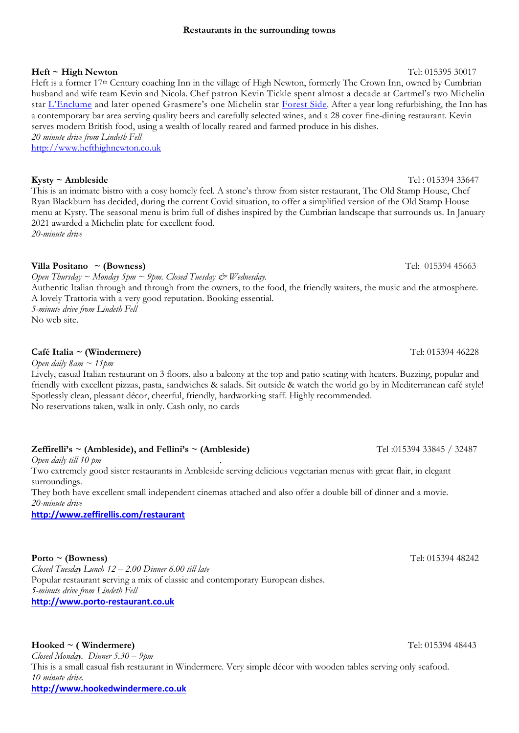### **Restaurants in the surrounding towns**

**Heft ~ High Newton** Tel: 015395 30017

Heft is a former 17th Century coaching Inn in the village of High Newton, formerly The Crown Inn, owned by Cumbrian husband and wife team Kevin and Nicola. Chef patron Kevin Tickle spent almost a decade at Cartmel's two Michelin star [L'Enclume](https://www.lancashirelife.co.uk/food-drink/how-simon-rogan-coped-in-lockdown-1-6847747) and later opened Grasmere's one Michelin star [Forest Side.](https://www.lancashirelife.co.uk/food-drink/food-and-drink-features/kevin-tickle-the-award-winning-chef-at-the-forest-side-in-grasmere-1-5057067) After a year long refurbishing, the Inn has a contemporary bar area serving quality beers and carefully selected wines, and a 28 cover fine-dining restaurant. Kevin serves modern British food, using a wealth of locally reared and farmed produce in his dishes. *20 minute drive from Lindeth Fell*

[http://www.hefthighnewton.co.uk](http://www.hefthighnewton.co.uk/)

### **Kysty ~ Ambleside** Tel : 015394 33647

This is an intimate bistro with a cosy homely feel. A stone's throw from sister restaurant, The Old Stamp House, Chef Ryan Blackburn has decided, during the current Covid situation, to offer a simplified version of the Old Stamp House menu at Kysty. The seasonal menu is brim full of dishes inspired by the Cumbrian landscape that surrounds us. In January 2021 awarded a Michelin plate for excellent food. *20-minute drive*

**Villa Positano ~ (Bowness)** Tel: 015394 45663

*Open Thursday ~ Monday 5pm ~ 9pm. Closed Tuesday & Wednesday.* Authentic Italian through and through from the owners, to the food, the friendly waiters, the music and the atmosphere. A lovely Trattoria with a very good reputation. Booking essential. *5-minute drive from Lindeth Fell*

No web site.

# **Café Italia ~ (Windermere)** Tel: 015394 46228

*Open daily 8am ~ 11pm*

Lively, casual Italian restaurant on 3 floors, also a balcony at the top and patio seating with heaters. Buzzing, popular and friendly with excellent pizzas, pasta, sandwiches & salads. Sit outside & watch the world go by in Mediterranean café style! Spotlessly clean, pleasant décor, cheerful, friendly, hardworking staff. Highly recommended. No reservations taken, walk in only. Cash only, no cards

### **Zeffirelli's ~ (Ambleside), and Fellini's ~ (Ambleside)** Tel :015394 33845 / 32487

*Open daily till 10 pm .*

Two extremely good sister restaurants in Ambleside serving delicious vegetarian menus with great flair, in elegant surroundings.

They both have excellent small independent cinemas attached and also offer a double bill of dinner and a movie. *20-minute drive*

**<http://www.zeffirellis.com/restaurant>**

### **Porto ~ (Bowness)** Tel: 015394 48242

*Closed Tuesday Lunch 12 – 2.00 Dinner 6.00 till late* Popular restaurant **s**erving a mix of classic and contemporary European dishes. *5-minute drive from Lindeth Fell* **[http://www.porto-restaurant.co.uk](http://www.porto-restaurant.co.uk/)**

### **Hooked ~ ( Windermere)** Tel: 015394 48443

*Closed Monday. Dinner 5.30 – 9pm* This is a small casual fish restaurant in Windermere. Very simple décor with wooden tables serving only seafood. *10 minute drive.*

**[http://www.hookedwindermere.co.uk](http://www.hookedwindermere.co.uk/)**